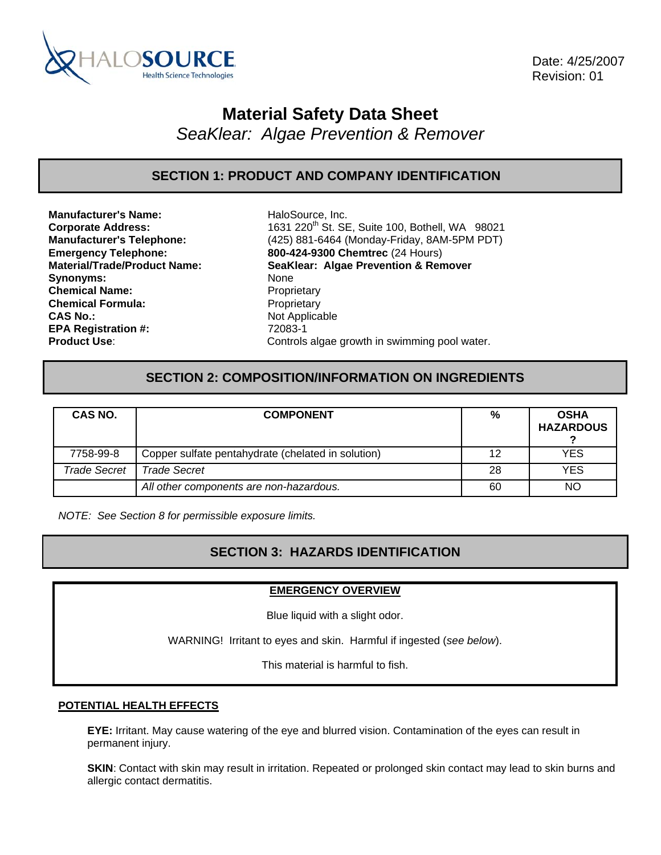

 Date: 4/25/2007 Revision: 01

# **Material Safety Data Sheet**

*SeaKlear: Algae Prevention & Remover* 

**SECTION 1: PRODUCT AND COMPANY IDENTIFICATION** 

**Manufacturer's Name:** HaloSource, Inc. Synonyms: None **Chemical Name:** Proprietary **Chemical Formula:** Proprietary **CAS No.:** Not Applicable **EPA Registration #:** 72083-1

**Corporate Address:** 1631 220<sup>th</sup> St. SE, Suite 100, Bothell, WA 98021 **Manufacturer's Telephone:** (425) 881-6464 (Monday-Friday, 8AM-5PM PDT) **Emergency Telephone: 800-424-9300 Chemtrec** (24 Hours) **Material/Trade/Product Name: SeaKlear: Algae Prevention & Remover Product Use:** Controls algae growth in swimming pool water.

# **SECTION 2: COMPOSITION/INFORMATION ON INGREDIENTS**

| CAS NO.             | <b>COMPONENT</b>                                   | %  | <b>OSHA</b><br><b>HAZARDOUS</b> |
|---------------------|----------------------------------------------------|----|---------------------------------|
| 7758-99-8           | Copper sulfate pentahydrate (chelated in solution) | 12 | YES                             |
| <b>Trade Secret</b> | <b>Trade Secret</b>                                | 28 | <b>YES</b>                      |
|                     | All other components are non-hazardous.            | 60 | <b>NO</b>                       |

*NOTE: See Section 8 for permissible exposure limits.* 

# **SECTION 3: HAZARDS IDENTIFICATION**

### **EMERGENCY OVERVIEW**

Blue liquid with a slight odor.

WARNING! Irritant to eyes and skin. Harmful if ingested (*see below*).

This material is harmful to fish.

### **POTENTIAL HEALTH EFFECTS**

**EYE:** Irritant. May cause watering of the eye and blurred vision. Contamination of the eyes can result in permanent injury.

**SKIN**: Contact with skin may result in irritation. Repeated or prolonged skin contact may lead to skin burns and allergic contact dermatitis.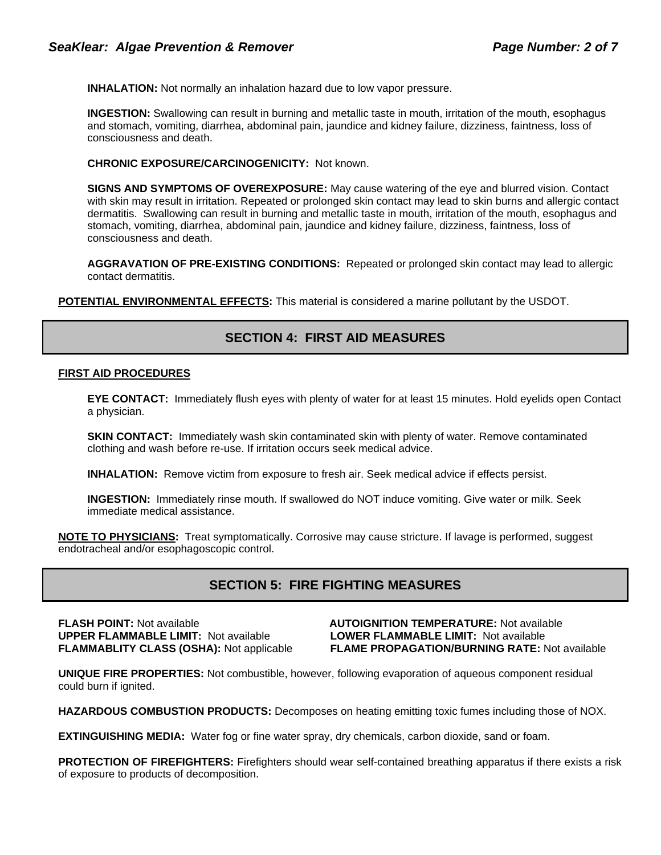**INHALATION:** Not normally an inhalation hazard due to low vapor pressure.

**INGESTION:** Swallowing can result in burning and metallic taste in mouth, irritation of the mouth, esophagus and stomach, vomiting, diarrhea, abdominal pain, jaundice and kidney failure, dizziness, faintness, loss of consciousness and death.

### **CHRONIC EXPOSURE/CARCINOGENICITY:** Not known.

**SIGNS AND SYMPTOMS OF OVEREXPOSURE:** May cause watering of the eye and blurred vision. Contact with skin may result in irritation. Repeated or prolonged skin contact may lead to skin burns and allergic contact dermatitis. Swallowing can result in burning and metallic taste in mouth, irritation of the mouth, esophagus and stomach, vomiting, diarrhea, abdominal pain, jaundice and kidney failure, dizziness, faintness, loss of consciousness and death.

**AGGRAVATION OF PRE-EXISTING CONDITIONS:** Repeated or prolonged skin contact may lead to allergic contact dermatitis.

**POTENTIAL ENVIRONMENTAL EFFECTS:** This material is considered a marine pollutant by the USDOT.

# **SECTION 4: FIRST AID MEASURES**

### **FIRST AID PROCEDURES**

**EYE CONTACT:** Immediately flush eyes with plenty of water for at least 15 minutes. Hold eyelids open Contact a physician.

**SKIN CONTACT:** Immediately wash skin contaminated skin with plenty of water. Remove contaminated clothing and wash before re-use. If irritation occurs seek medical advice.

**INHALATION:** Remove victim from exposure to fresh air. Seek medical advice if effects persist.

**INGESTION:** Immediately rinse mouth. If swallowed do NOT induce vomiting. Give water or milk. Seek immediate medical assistance.

**NOTE TO PHYSICIANS:** Treat symptomatically. Corrosive may cause stricture. If lavage is performed, suggest endotracheal and/or esophagoscopic control.

# **SECTION 5: FIRE FIGHTING MEASURES**

**FLASH POINT:** Not available **AUTOIGNITION TEMPERATURE:** Not available **UPPER FLAMMABLE LIMIT:** Not available **LOWER FLAMMABLE LIMIT:** Not available

**FLAMMABLITY CLASS (OSHA):** Not applicable **FLAME PROPAGATION/BURNING RATE:** Not available

**UNIQUE FIRE PROPERTIES:** Not combustible, however, following evaporation of aqueous component residual could burn if ignited.

**HAZARDOUS COMBUSTION PRODUCTS:** Decomposes on heating emitting toxic fumes including those of NOX.

**EXTINGUISHING MEDIA:** Water fog or fine water spray, dry chemicals, carbon dioxide, sand or foam.

**PROTECTION OF FIREFIGHTERS:** Firefighters should wear self-contained breathing apparatus if there exists a risk of exposure to products of decomposition.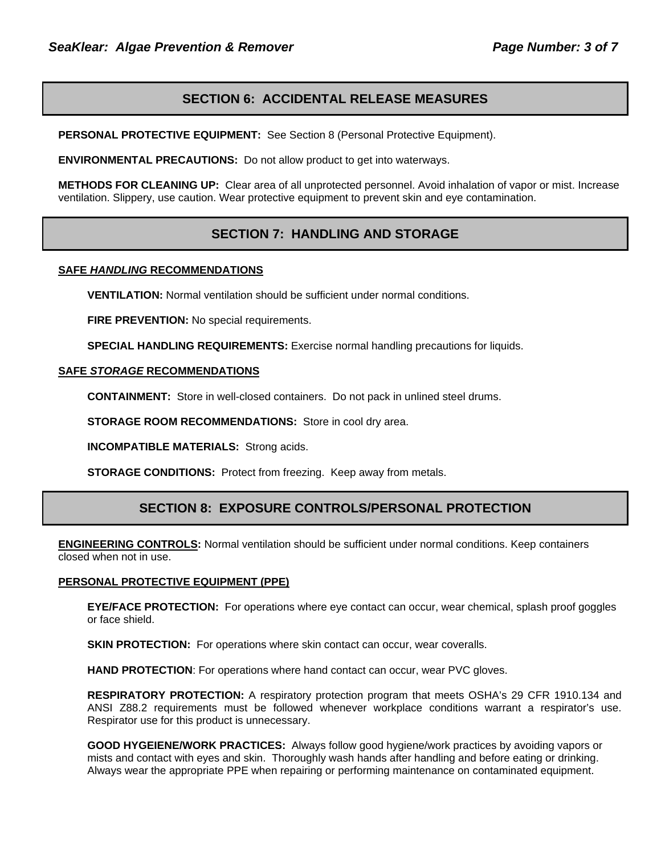### **SECTION 6: ACCIDENTAL RELEASE MEASURES**

**PERSONAL PROTECTIVE EQUIPMENT:** See Section 8 (Personal Protective Equipment).

**ENVIRONMENTAL PRECAUTIONS:** Do not allow product to get into waterways.

**METHODS FOR CLEANING UP:** Clear area of all unprotected personnel. Avoid inhalation of vapor or mist. Increase ventilation. Slippery, use caution. Wear protective equipment to prevent skin and eye contamination.

### **SECTION 7: HANDLING AND STORAGE**

#### **SAFE** *HANDLING* **RECOMMENDATIONS**

**VENTILATION:** Normal ventilation should be sufficient under normal conditions.

**FIRE PREVENTION:** No special requirements.

**SPECIAL HANDLING REQUIREMENTS:** Exercise normal handling precautions for liquids.

#### **SAFE** *STORAGE* **RECOMMENDATIONS**

**CONTAINMENT:** Store in well-closed containers. Do not pack in unlined steel drums.

**STORAGE ROOM RECOMMENDATIONS:** Store in cool dry area.

**INCOMPATIBLE MATERIALS:** Strong acids.

**STORAGE CONDITIONS:** Protect from freezing. Keep away from metals.

### **SECTION 8: EXPOSURE CONTROLS/PERSONAL PROTECTION**

**ENGINEERING CONTROLS:** Normal ventilation should be sufficient under normal conditions. Keep containers closed when not in use.

#### **PERSONAL PROTECTIVE EQUIPMENT (PPE)**

**EYE/FACE PROTECTION:** For operations where eye contact can occur, wear chemical, splash proof goggles or face shield.

**SKIN PROTECTION:** For operations where skin contact can occur, wear coveralls.

**HAND PROTECTION**: For operations where hand contact can occur, wear PVC gloves.

**RESPIRATORY PROTECTION:** A respiratory protection program that meets OSHA's 29 CFR 1910.134 and ANSI Z88.2 requirements must be followed whenever workplace conditions warrant a respirator's use. Respirator use for this product is unnecessary.

**GOOD HYGEIENE/WORK PRACTICES:** Always follow good hygiene/work practices by avoiding vapors or mists and contact with eyes and skin. Thoroughly wash hands after handling and before eating or drinking. Always wear the appropriate PPE when repairing or performing maintenance on contaminated equipment.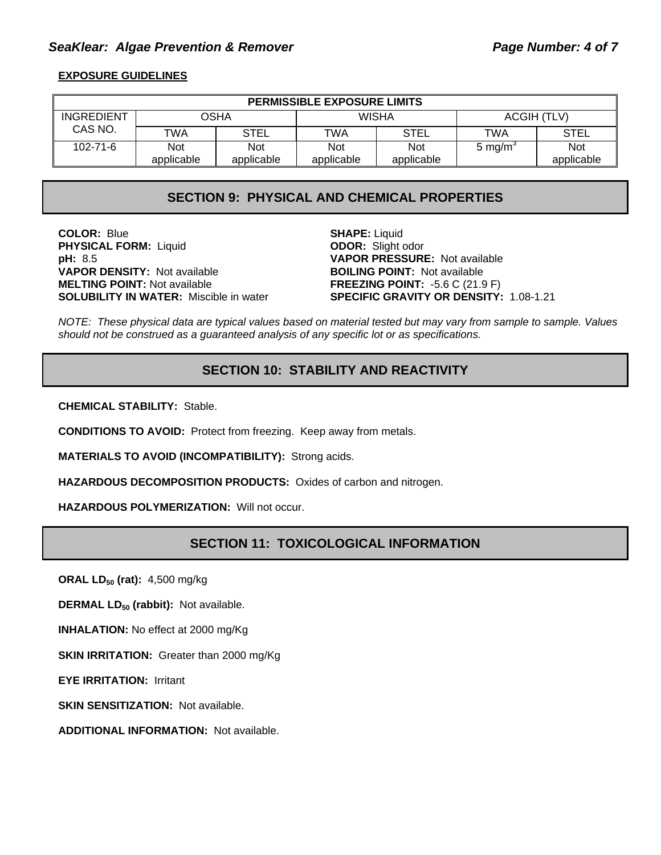### SeaKlear: Algae Prevention & Remover **Page Number: 4 of 7** and Page Number: 4 of 7

### **EXPOSURE GUIDELINES**

| <b>PERMISSIBLE EXPOSURE LIMITS</b> |            |             |              |             |                     |             |
|------------------------------------|------------|-------------|--------------|-------------|---------------------|-------------|
| INGREDIENT                         |            | OSHA        | <b>WISHA</b> |             | ACGIH (TLV)         |             |
| CAS NO.                            | TWA        | <b>STEL</b> | <b>TWA</b>   | <b>STEL</b> | TWA                 | <b>STEL</b> |
| $102 - 71 - 6$                     | <b>Not</b> | <b>Not</b>  | <b>Not</b>   | <b>Not</b>  | 5 mg/m <sup>3</sup> | <b>Not</b>  |
|                                    | applicable | applicable  | applicable   | applicable  |                     | applicable  |

### **SECTION 9: PHYSICAL AND CHEMICAL PROPERTIES**

**COLOR:** Blue **SHAPE:** Liquid **SHAPE:** Liquid **PHYSICAL FORM:** Liquid **COLOR:** Slight odor **PHYSICAL FORM: Liquid pH:** 8.5 **VAPOR PRESSURE:** Not available **VAPOR DENSITY:** Not available **BOILING POINT:** Not available **MELTING POINT:** Not available **FREEZING POINT:** -5.6 C (21.9 F)

**SOLUBILITY IN WATER:** Miscible in water **SPECIFIC GRAVITY OR DENSITY:** 1.08-1.21

*NOTE: These physical data are typical values based on material tested but may vary from sample to sample. Values should not be construed as a guaranteed analysis of any specific lot or as specifications.*

# **SECTION 10: STABILITY AND REACTIVITY**

**CHEMICAL STABILITY:** Stable.

**CONDITIONS TO AVOID:** Protect from freezing. Keep away from metals.

**MATERIALS TO AVOID (INCOMPATIBILITY):** Strong acids.

**HAZARDOUS DECOMPOSITION PRODUCTS:** Oxides of carbon and nitrogen.

**HAZARDOUS POLYMERIZATION:** Will not occur.

### **SECTION 11: TOXICOLOGICAL INFORMATION**

**ORAL LD<sub>50</sub> (rat):** 4,500 mg/kg

**DERMAL LD<sub>50</sub> (rabbit):** Not available.

**INHALATION:** No effect at 2000 mg/Kg

**SKIN IRRITATION:** Greater than 2000 mg/Kg

**EYE IRRITATION:** Irritant

**SKIN SENSITIZATION: Not available.** 

**ADDITIONAL INFORMATION:** Not available.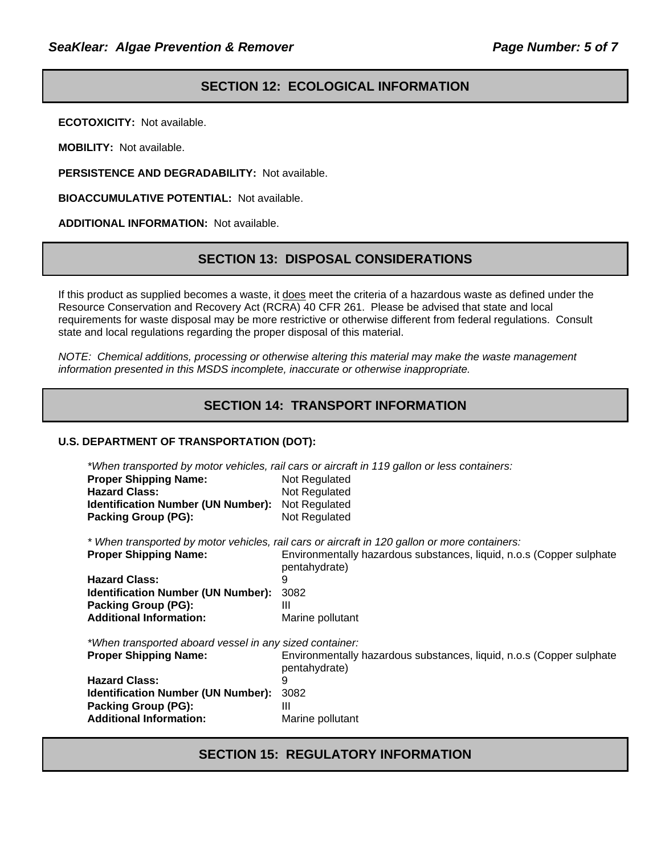# **SECTION 12: ECOLOGICAL INFORMATION**

**ECOTOXICITY:** Not available.

**MOBILITY:** Not available.

**PERSISTENCE AND DEGRADABILITY:** Not available.

**BIOACCUMULATIVE POTENTIAL:** Not available.

**ADDITIONAL INFORMATION:** Not available.

### **SECTION 13: DISPOSAL CONSIDERATIONS**

If this product as supplied becomes a waste, it does meet the criteria of a hazardous waste as defined under the Resource Conservation and Recovery Act (RCRA) 40 CFR 261. Please be advised that state and local requirements for waste disposal may be more restrictive or otherwise different from federal regulations. Consult state and local regulations regarding the proper disposal of this material.

*NOTE: Chemical additions, processing or otherwise altering this material may make the waste management information presented in this MSDS incomplete, inaccurate or otherwise inappropriate.* 

# **SECTION 14: TRANSPORT INFORMATION**

#### **U.S. DEPARTMENT OF TRANSPORTATION (DOT):**

*\*When transported by motor vehicles, rail cars or aircraft in 119 gallon or less containers:* 

| <b>Proper Shipping Name:</b>              | Not Regulated |
|-------------------------------------------|---------------|
| <b>Hazard Class:</b>                      | Not Regulated |
| <b>Identification Number (UN Number):</b> | Not Regulated |
| <b>Packing Group (PG):</b>                | Not Regulated |

*\* When transported by motor vehicles, rail cars or aircraft in 120 gallon or more containers:* 

| <b>Proper Shipping Name:</b>                   | Environmentally hazardous substances, liquid, n.o.s (Copper sulphate<br>pentahydrate) |
|------------------------------------------------|---------------------------------------------------------------------------------------|
| <b>Hazard Class:</b>                           |                                                                                       |
| <b>Identification Number (UN Number): 3082</b> |                                                                                       |
| <b>Packing Group (PG):</b>                     |                                                                                       |
| <b>Additional Information:</b>                 | Marine pollutant                                                                      |
|                                                |                                                                                       |

*\*When transported aboard vessel in any sized container:* 

| <b>Proper Shipping Name:</b>                   | Environmentally hazardous substances, liquid, n.o.s (Copper sulphate<br>pentahydrate) |
|------------------------------------------------|---------------------------------------------------------------------------------------|
| <b>Hazard Class:</b>                           |                                                                                       |
| <b>Identification Number (UN Number): 3082</b> |                                                                                       |
| Packing Group (PG):                            | Ш                                                                                     |
| <b>Additional Information:</b>                 | Marine pollutant                                                                      |

### **SECTION 15: REGULATORY INFORMATION**